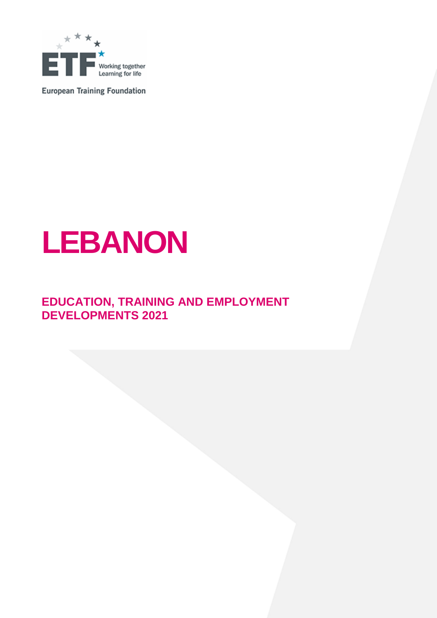

**European Training Foundation** 

# **LEBANON**

# **EDUCATION, TRAINING AND EMPLOYMENT DEVELOPMENTS 2021**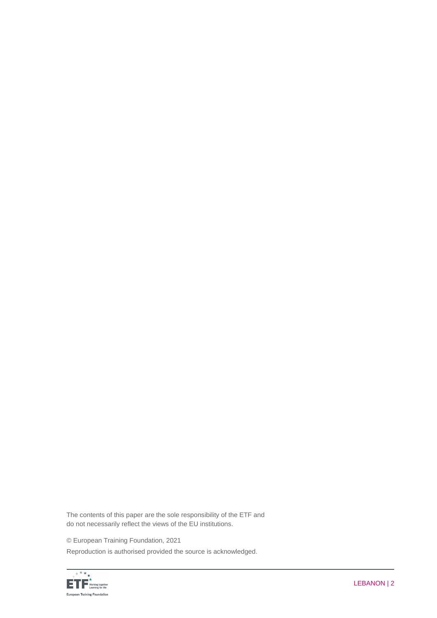The contents of this paper are the sole responsibility of the ETF and do not necessarily reflect the views of the EU institutions.

© European Training Foundation, 2021

Reproduction is authorised provided the source is acknowledged.

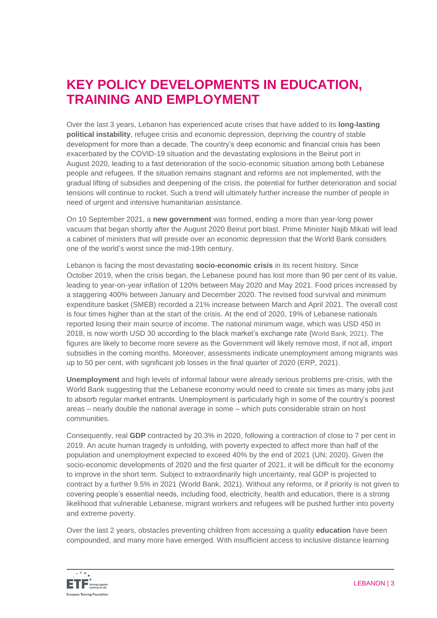# **KEY POLICY DEVELOPMENTS IN EDUCATION, TRAINING AND EMPLOYMENT**

Over the last 3 years, Lebanon has experienced acute crises that have added to its **long-lasting political instability**, refugee crisis and economic depression, depriving the country of stable development for more than a decade. The country's deep economic and financial crisis has been exacerbated by the COVID-19 situation and the devastating explosions in the Beirut port in August 2020, leading to a fast deterioration of the socio-economic situation among both Lebanese people and refugees. If the situation remains stagnant and reforms are not implemented, with the gradual lifting of subsidies and deepening of the crisis, the potential for further deterioration and social tensions will continue to rocket. Such a trend will ultimately further increase the number of people in need of urgent and intensive humanitarian assistance.

On 10 September 2021, a **new government** was formed, ending a more than year-long power vacuum that began shortly after the August [2020 Beirut port blast.](https://www.cnn.com/2021/08/04/middleeast/beirut-explosion-anniversary-questions-intl/index.html) Prime Minister Najib Mikati will lead a cabinet of ministers that will preside over an economic depression that the World Bank considers one of the world's worst since the mid-19th century.

Lebanon is facing the most devastating **socio-economic crisis** in its recent history. Since October 2019, when the crisis began, the Lebanese pound has lost more than 90 per cent of its value, leading to year-on-year inflation of 120% between May 2020 and May 2021. Food prices increased by a staggering 400% between January and December 2020. The revised food survival and minimum expenditure basket (SMEB) recorded a 21% increase between March and April 2021. The overall cost is four times higher than at the start of the crisis. At the end of 2020, 19% of Lebanese nationals reported losing their main source of income. The national minimum wage, which was USD 450 in 2018, is now worth USD 30 according to the black market's exchange rate (World Bank, 2021). The figures are likely to become more severe as the Government will likely remove most, if not all, import subsidies in the coming months. Moreover, assessments indicate unemployment among migrants was up to 50 per cent, with significant job losses in the final quarter of 2020 (ERP, 2021).

**Unemployment** and high levels of informal labour were already serious problems pre-crisis, with the World Bank suggesting that the Lebanese economy would need to create six times as many jobs just to absorb regular market entrants. Unemployment is particularly high in some of the country's poorest areas – nearly double the national average in some – which puts considerable strain on host communities.

Consequently, real **GDP** contracted by 20.3% in 2020, following a contraction of close to 7 per cent in 2019. An acute human tragedy is unfolding, with poverty expected to affect more than half of the population and unemployment expected to exceed 40% by the end of 2021 (UN; 2020). Given the socio-economic developments of 2020 and the first quarter of 2021, it will be difficult for the economy to improve in the short term. Subject to extraordinarily high uncertainty, real GDP is projected to contract by a further 9.5% in 2021 (World Bank, 2021). Without any reforms, or if priority is not given to covering people's essential needs, including food, electricity, health and education, there is a strong likelihood that vulnerable Lebanese, migrant workers and refugees will be pushed further into poverty and extreme poverty.

Over the last 2 years, obstacles preventing children from accessing a quality **education** have been compounded, and many more have emerged. With insufficient access to inclusive distance learning

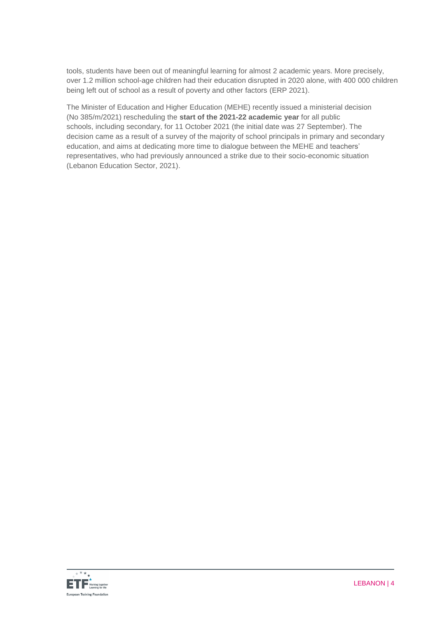tools, students have been out of meaningful learning for almost 2 academic years. More precisely, over 1.2 million school-age children had their education disrupted in 2020 alone, with 400 000 children being left out of school as a result of poverty and other factors (ERP 2021).

The Minister of Education and Higher Education (MEHE) recently issued a ministerial decision (No 385/m/2021) rescheduling the **start of the 2021-22 academic year** for all public schools, including secondary, for 11 October 2021 (the initial date was 27 September). The decision came as a result of a survey of the majority of school principals in primary and secondary education, and aims at dedicating more time to dialogue between the MEHE and teachers' representatives, who had previously announced a strike due to their socio-economic situation (Lebanon Education Sector, 2021).

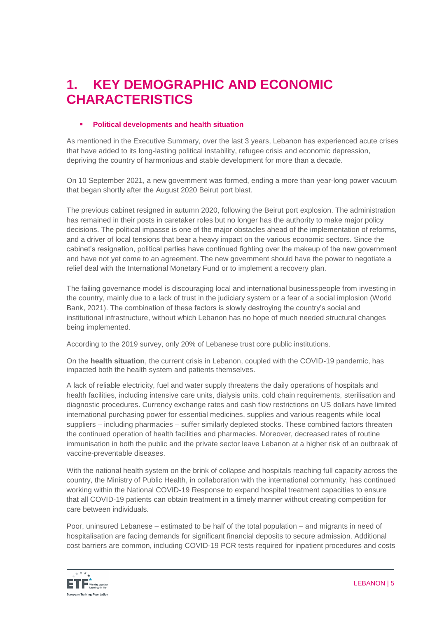# **1. KEY DEMOGRAPHIC AND ECONOMIC CHARACTERISTICS**

# **Political developments and health situation**

As mentioned in the Executive Summary, over the last 3 years, Lebanon has experienced acute crises that have added to its long-lasting political instability, refugee crisis and economic depression, depriving the country of harmonious and stable development for more than a decade.

On 10 September 2021, a new government was formed, ending a more than year-long power vacuum that began shortly after the August [2020 Beirut port blast.](https://www.cnn.com/2021/08/04/middleeast/beirut-explosion-anniversary-questions-intl/index.html)

The previous cabinet resigned in autumn 2020, following the Beirut port explosion. The administration has remained in their posts in caretaker roles but no longer has the authority to make major policy decisions. The political impasse is one of the major obstacles ahead of the implementation of reforms, and a driver of local tensions that bear a heavy impact on the various economic sectors. Since the cabinet's resignation, political parties have continued fighting over the makeup of the new government and have not yet come to an agreement. The new government should have the power to negotiate a relief deal with the [International Monetary Fund](https://www.cnn.com/2021/07/06/middleeast/lebanon-social-explosion-prime-minister-intl/index.html) or to implement a recovery plan.

The failing governance model is discouraging local and international businesspeople from investing in the country, mainly due to a lack of trust in the judiciary system or a fear of a social implosion (World Bank, 2021). The combination of these factors is slowly destroying the country's social and institutional infrastructure, without which Lebanon has no hope of much needed structural changes being implemented.

According to the 2019 survey, only 20% of Lebanese trust core public institutions.

On the **health situation**, the current crisis in Lebanon, coupled with the COVID-19 pandemic, has impacted both the health system and patients themselves.

A lack of reliable electricity, fuel and water supply threatens the daily operations of hospitals and health facilities, including intensive care units, dialysis units, cold chain requirements, sterilisation and diagnostic procedures. Currency exchange rates and cash flow restrictions on US dollars have limited international purchasing power for essential medicines, supplies and various reagents while local suppliers – including pharmacies – suffer similarly depleted stocks. These combined factors threaten the continued operation of health facilities and pharmacies. Moreover, decreased rates of routine immunisation in both the public and the private sector leave Lebanon at a higher risk of an outbreak of vaccine-preventable diseases.

With the national health system on the brink of collapse and hospitals reaching full capacity across the country, the Ministry of Public Health, in collaboration with the international community, has continued working within the National COVID-19 Response to expand hospital treatment capacities to ensure that all COVID-19 patients can obtain treatment in a timely manner without creating competition for care between individuals.

Poor, uninsured Lebanese – estimated to be half of the total population – and migrants in need of hospitalisation are facing demands for significant financial deposits to secure admission. Additional cost barriers are common, including COVID-19 PCR tests required for inpatient procedures and costs

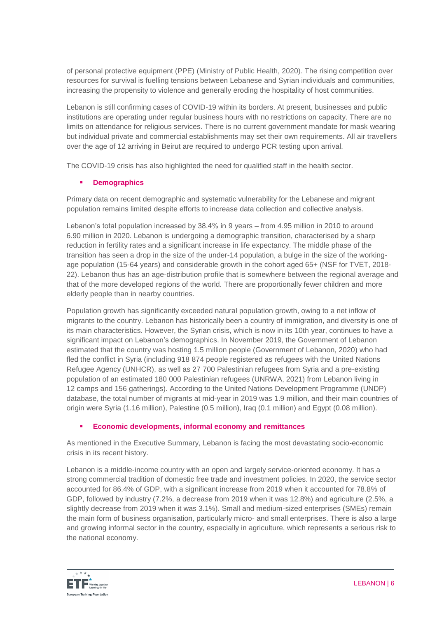of personal protective equipment (PPE) (Ministry of Public Health, 2020). The rising competition over resources for survival is fuelling tensions between Lebanese and Syrian individuals and communities, increasing the propensity to violence and generally eroding the hospitality of host communities.

Lebanon is still confirming cases of COVID-19 within its borders. At present, businesses and public institutions are operating under regular business hours with no restrictions on capacity. There are no limits on attendance for religious services. There is no current government mandate for mask wearing but individual private and commercial establishments may set their own requirements. All air travellers over the age of 12 arriving in Beirut are required to undergo PCR testing upon arrival.

The COVID-19 crisis has also highlighted the need for qualified staff in the health sector.

# **Demographics**

Primary data on recent demographic and systematic vulnerability for the Lebanese and migrant population remains limited despite efforts to increase data collection and collective analysis.

Lebanon's total population increased by 38.4% in 9 years – from 4.95 million in 2010 to around 6.90 million in 2020. Lebanon is undergoing a demographic transition, characterised by a sharp reduction in fertility rates and a significant increase in life expectancy. The middle phase of the transition has seen a drop in the size of the under-14 population, a bulge in the size of the workingage population (15-64 years) and considerable growth in the cohort aged 65+ (NSF for TVET, 2018- 22). Lebanon thus has an age-distribution profile that is somewhere between the regional average and that of the more developed regions of the world. There are proportionally fewer children and more elderly people than in nearby countries.

Population growth has significantly exceeded natural population growth, owing to a net inflow of migrants to the country. Lebanon has historically been a country of immigration, and diversity is one of its main characteristics. However, the Syrian crisis, which is now in its 10th year, continues to have a significant impact on Lebanon's demographics. In November 2019, the Government of Lebanon estimated that the country was hosting 1.5 million people (Government of Lebanon, 2020) who had fled the conflict in Syria (including 918 874 people registered as refugees with the United Nations Refugee Agency (UNHCR), as well as 27 700 Palestinian refugees from Syria and a pre-existing population of an estimated 180 000 Palestinian refugees (UNRWA, 2021) from Lebanon living in 12 camps and 156 gatherings). According to the United Nations Development Programme (UNDP) database, the total number of migrants at mid-year in 2019 was 1.9 million, and their main countries of origin were Syria (1.16 million), Palestine (0.5 million), Iraq (0.1 million) and Egypt (0.08 million).

## **Economic developments, informal economy and remittances**

As mentioned in the Executive Summary, Lebanon is facing the most devastating socio-economic crisis in its recent history.

Lebanon is a middle-income country with an open and largely service-oriented economy. It has a strong commercial tradition of domestic free trade and investment policies. In 2020, the service sector accounted for 86.4% of GDP, with a significant increase from 2019 when it accounted for 78.8% of GDP, followed by industry (7.2%, a decrease from 2019 when it was 12.8%) and agriculture (2.5%, a slightly decrease from 2019 when it was 3.1%). Small and medium-sized enterprises (SMEs) remain the main form of business organisation, particularly micro- and small enterprises. There is also a large and growing informal sector in the country, especially in agriculture, which represents a serious risk to the national economy.

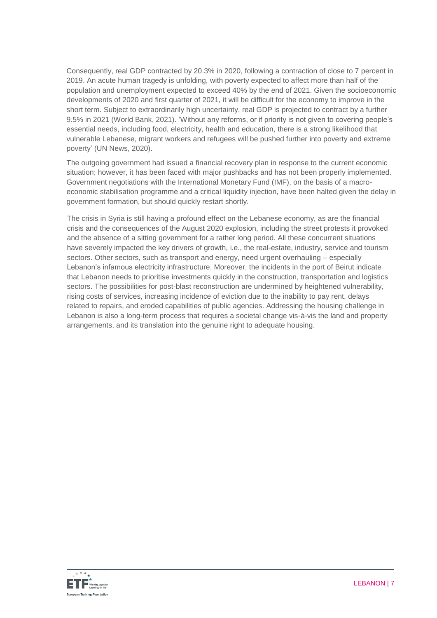Consequently, real GDP contracted by 20.3% in 2020, following a contraction of close to 7 percent in 2019. An acute human tragedy is unfolding, with poverty expected to affect more than half of the population and unemployment expected to exceed 40% by the end of 2021. Given the socioeconomic developments of 2020 and first quarter of 2021, it will be difficult for the economy to improve in the short term. Subject to extraordinarily high uncertainty, real GDP is projected to contract by a further 9.5% in 2021 (World Bank, 2021). 'Without any reforms, or if priority is not given to covering people's essential needs, including food, electricity, health and education, there is a strong likelihood that vulnerable Lebanese, migrant workers and refugees will be pushed further into poverty and extreme poverty' (UN News, 2020).

The outgoing government had issued a financial recovery plan in response to the current economic situation; however, it has been faced with major pushbacks and has not been properly implemented. Government negotiations with the International Monetary Fund (IMF), on the basis of a macroeconomic stabilisation programme and a critical liquidity injection, have been halted given the delay in government formation, but should quickly restart shortly.

The crisis in Syria is still having a profound effect on the Lebanese economy, as are the financial crisis and the consequences of the August 2020 explosion, including the street protests it provoked and the absence of a sitting government for a rather long period. All these concurrent situations have severely impacted the key drivers of growth, i.e., the real-estate, industry, service and tourism sectors. Other sectors, such as transport and energy, need urgent overhauling – especially Lebanon's infamous electricity infrastructure. Moreover, the incidents in the port of Beirut indicate that Lebanon needs to prioritise investments quickly in the construction, transportation and logistics sectors. The possibilities for post-blast reconstruction are undermined by heightened vulnerability, rising costs of services, increasing incidence of eviction due to the inability to pay rent, delays related to repairs, and eroded capabilities of public agencies. Addressing the housing challenge in Lebanon is also a long-term process that requires a societal change vis-à-vis the land and property arrangements, and its translation into the genuine right to adequate housing.

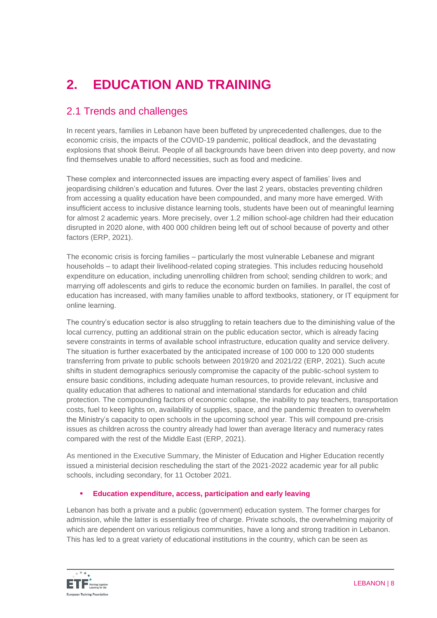# **2. EDUCATION AND TRAINING**

# 2.1 Trends and challenges

In recent years, families in Lebanon have been buffeted by unprecedented challenges, due to the economic crisis, the impacts of the COVID-19 pandemic, political deadlock, and the devastating explosions that shook Beirut. People of all backgrounds have been driven into deep poverty, and now find themselves unable to afford necessities, such as food and medicine.

These complex and interconnected issues are impacting every aspect of families' lives and jeopardising children's education and futures. Over the last 2 years, obstacles preventing children from accessing a quality education have been compounded, and many more have emerged. With insufficient access to inclusive distance learning tools, students have been out of meaningful learning for almost 2 academic years. More precisely, over 1.2 million school-age children had their education disrupted in 2020 alone, with 400 000 children being left out of school because of poverty and other factors (ERP, 2021).

The economic crisis is forcing families – particularly the most vulnerable Lebanese and migrant households – to adapt their livelihood-related coping strategies. This includes reducing household expenditure on education, including unenrolling children from school; sending children to work; and marrying off adolescents and girls to reduce the economic burden on families. In parallel, the cost of education has increased, with many families unable to afford textbooks, stationery, or IT equipment for online learning.

The country's education sector is also struggling to retain teachers due to the diminishing value of the local currency, putting an additional strain on the public education sector, which is already facing severe constraints in terms of available school infrastructure, education quality and service delivery. The situation is further exacerbated by the anticipated increase of 100 000 to 120 000 students transferring from private to public schools between 2019/20 and 2021/22 (ERP, 2021). Such acute shifts in student demographics seriously compromise the capacity of the public-school system to ensure basic conditions, including adequate human resources, to provide relevant, inclusive and quality education that adheres to national and international standards for education and child protection. The compounding factors of economic collapse, the inability to pay teachers, transportation costs, fuel to keep lights on, availability of supplies, space, and the pandemic threaten to overwhelm the Ministry's capacity to open schools in the upcoming school year. This will compound pre-crisis issues as children across the country already had lower than average literacy and numeracy rates compared with the rest of the Middle East (ERP, 2021).

As mentioned in the Executive Summary, the Minister of Education and Higher Education recently issued a ministerial decision rescheduling the start of the 2021-2022 academic year for all public schools, including secondary, for 11 October 2021.

## **Education expenditure, access, participation and early leaving**

Lebanon has both a private and a public (government) education system. The former charges for admission, while the latter is essentially free of charge. Private schools, the overwhelming majority of which are dependent on various religious communities, have a long and strong tradition in Lebanon. This has led to a great variety of educational institutions in the country, which can be seen as

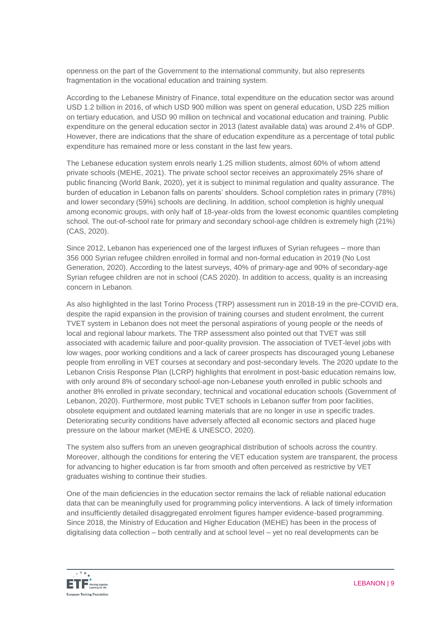openness on the part of the Government to the international community, but also represents fragmentation in the vocational education and training system.

According to the Lebanese Ministry of Finance, total expenditure on the education sector was around USD 1.2 billion in 2016, of which USD 900 million was spent on general education, USD 225 million on tertiary education, and USD 90 million on technical and vocational education and training. Public expenditure on the general education sector in 2013 (latest available data) was around 2.4% of GDP. However, there are indications that the share of education expenditure as a percentage of total public expenditure has remained more or less constant in the last few years.

The Lebanese education system enrols nearly 1.25 million students, almost 60% of whom attend private schools (MEHE, 2021). The private school sector receives an approximately 25% share of public financing (World Bank, 2020), yet it is subject to minimal regulation and quality assurance. The burden of education in Lebanon falls on parents' shoulders. School completion rates in primary (78%) and lower secondary (59%) schools are declining. In addition, school completion is highly unequal among economic groups, with only half of 18-year-olds from the lowest economic quantiles completing school. The out-of-school rate for primary and secondary school-age children is extremely high (21%) (CAS, 2020).

Since 2012, Lebanon has experienced one of the largest influxes of Syrian refugees – more than 356 000 Syrian refugee children enrolled in formal and non-formal education in 2019 (No Lost Generation, 2020). According to the latest surveys, 40% of primary-age and 90% of secondary-age Syrian refugee children are not in school (CAS 2020). In addition to access, quality is an increasing concern in Lebanon.

As also highlighted in the last Torino Process (TRP) assessment run in 2018-19 in the pre-COVID era, despite the rapid expansion in the provision of training courses and student enrolment, the current TVET system in Lebanon does not meet the personal aspirations of young people or the needs of local and regional labour markets. The TRP assessment also pointed out that TVET was still associated with academic failure and poor-quality provision. The association of TVET-level jobs with low wages, poor working conditions and a lack of career prospects has discouraged young Lebanese people from enrolling in VET courses at secondary and post-secondary levels. The 2020 update to the Lebanon Crisis Response Plan (LCRP) highlights that enrolment in post-basic education remains low, with only around 8% of secondary school-age non-Lebanese youth enrolled in public schools and another 8% enrolled in private secondary, technical and vocational education schools (Government of Lebanon, 2020). Furthermore, most public TVET schools in Lebanon suffer from poor facilities, obsolete equipment and outdated learning materials that are no longer in use in specific trades. Deteriorating security conditions have adversely affected all economic sectors and placed huge pressure on the labour market (MEHE & UNESCO, 2020).

The system also suffers from an uneven geographical distribution of schools across the country. Moreover, although the conditions for entering the VET education system are transparent, the process for advancing to higher education is far from smooth and often perceived as restrictive by VET graduates wishing to continue their studies.

One of the main deficiencies in the education sector remains the lack of reliable national education data that can be meaningfully used for programming policy interventions. A lack of timely information and insufficiently detailed disaggregated enrolment figures hamper evidence-based programming. Since 2018, the Ministry of Education and Higher Education (MEHE) has been in the process of digitalising data collection – both centrally and at school level – yet no real developments can be

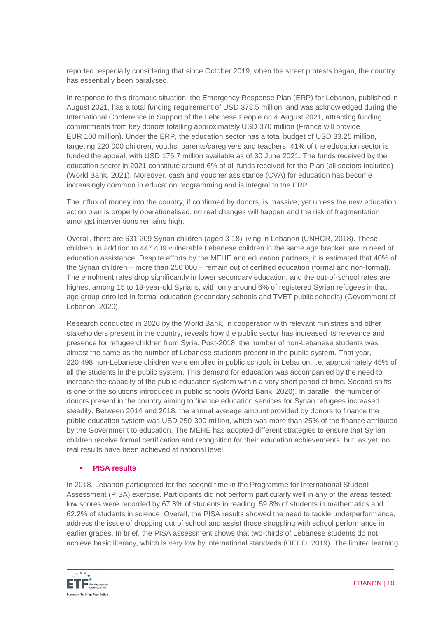reported, especially considering that since October 2019, when the street protests began, the country has essentially been paralysed.

In response to this dramatic situation, the Emergency Response Plan (ERP) for Lebanon, published in August 2021, has a total funding requirement of USD 378.5 million, and was acknowledged during the International Conference in Support of the Lebanese People on 4 August 2021, attracting funding commitments from key donors totalling approximately USD 370 million (France will provide EUR 100 million). Under the ERP, the education sector has a total budget of USD 33.25 million, targeting 220 000 children, youths, parents/caregivers and teachers. 41% of the education sector is funded the appeal, with USD 176.7 million available as of 30 June 2021. The funds received by the education sector in 2021 constitute around 6% of all funds received for the Plan (all sectors included) (World Bank, 2021). Moreover, cash and voucher assistance (CVA) for education has become increasingly common in education programming and is integral to the ERP.

The influx of money into the country, if confirmed by donors, is massive, yet unless the new education action plan is properly operationalised, no real changes will happen and the risk of fragmentation amongst interventions remains high.

Overall, there are 631 209 Syrian children (aged 3-18) living in Lebanon (UNHCR, 2018). These children, in addition to 447 409 vulnerable Lebanese children in the same age bracket, are in need of education assistance. Despite efforts by the MEHE and education partners, it is estimated that 40% of the Syrian children – more than 250 000 – remain out of certified education (formal and non-formal). The enrolment rates drop significantly in lower secondary education, and the out-of-school rates are highest among 15 to 18-year-old Syrians, with only around 6% of registered Syrian refugees in that age group enrolled in formal education (secondary schools and TVET public schools) (Government of Lebanon, 2020).

Research conducted in 2020 by the World Bank, in cooperation with relevant ministries and other stakeholders present in the country, reveals how the public sector has increased its relevance and presence for refugee children from Syria. Post-2018, the number of non-Lebanese students was almost the same as the number of Lebanese students present in the public system. That year, 220 498 non-Lebanese children were enrolled in public schools in Lebanon, i.e. approximately 45% of all the students in the public system. This demand for education was accompanied by the need to increase the capacity of the public education system within a very short period of time. Second shifts is one of the solutions introduced in public schools (World Bank, 2020). In parallel, the number of donors present in the country aiming to finance education services for Syrian refugees increased steadily. Between 2014 and 2018, the annual average amount provided by donors to finance the public education system was USD 250-300 million, which was more than 25% of the finance attributed by the Government to education. The MEHE has adopted different strategies to ensure that Syrian children receive formal certification and recognition for their education achievements, but, as yet, no real results have been achieved at national level.

## **PISA results**

In 2018, Lebanon participated for the second time in the Programme for International Student Assessment (PISA) exercise. Participants did not perform particularly well in any of the areas tested: low scores were recorded by 67.8% of students in reading, 59.8% of students in mathematics and 62.2% of students in science. Overall, the PISA results showed the need to tackle underperformance, address the issue of dropping out of school and assist those struggling with school performance in earlier grades. In brief, the PISA assessment shows that two-thirds of Lebanese students do not achieve basic literacy, which is very low by international standards (OECD, 2019). The limited learning

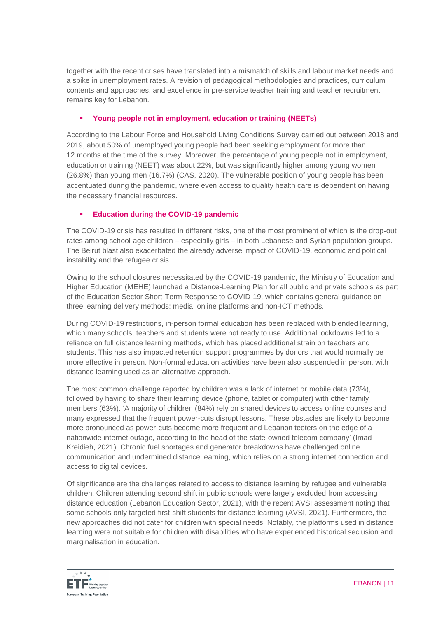together with the recent crises have translated into a mismatch of skills and labour market needs and a spike in unemployment rates. A revision of pedagogical methodologies and practices, curriculum contents and approaches, and excellence in pre-service teacher training and teacher recruitment remains key for Lebanon.

# **Young people not in employment, education or training (NEETs)**

According to the Labour Force and Household Living Conditions Survey carried out between 2018 and 2019, about 50% of unemployed young people had been seeking employment for more than 12 months at the time of the survey. Moreover, the percentage of young people not in employment, education or training (NEET) was about 22%, but was significantly higher among young women (26.8%) than young men (16.7%) (CAS, 2020). The vulnerable position of young people has been accentuated during the pandemic, where even access to quality health care is dependent on having the necessary financial resources.

# **Education during the COVID-19 pandemic**

The COVID-19 crisis has resulted in different risks, one of the most prominent of which is the drop-out rates among school-age children – especially girls – in both Lebanese and Syrian population groups. The Beirut blast also exacerbated the already adverse impact of COVID-19, economic and political instability and the refugee crisis.

Owing to the school closures necessitated by the COVID-19 pandemic, the Ministry of Education and Higher Education (MEHE) launched a Distance-Learning Plan for all public and private schools as part of the Education Sector Short-Term Response to COVID-19, which contains general guidance on three learning delivery methods: media, online platforms and non-ICT methods.

During COVID-19 restrictions, in-person formal education has been replaced with blended learning, which many schools, teachers and students were not ready to use. Additional lockdowns led to a reliance on full distance learning methods, which has placed additional strain on teachers and students. This has also impacted retention support programmes by donors that would normally be more effective in person. Non-formal education activities have been also suspended in person, with distance learning used as an alternative approach.

The most common challenge reported by children was a lack of internet or mobile data (73%), followed by having to share their learning device (phone, tablet or computer) with other family members (63%). 'A majority of children (84%) rely on shared devices to access online courses and many expressed that the frequent power-cuts disrupt lessons. These obstacles are likely to become more pronounced as power-cuts become more frequent and Lebanon teeters on the edge of a nationwide internet outage, according to the head of the state-owned telecom company' (Imad Kreidieh, 2021). Chronic fuel shortages and generator breakdowns have challenged online communication and undermined distance learning, which relies on a strong internet connection and access to digital devices.

Of significance are the challenges related to access to distance learning by refugee and vulnerable children. Children attending second shift in public schools were largely excluded from accessing distance education (Lebanon Education Sector, 2021), with the recent AVSI assessment noting that some schools only targeted first-shift students for distance learning (AVSI, 2021). Furthermore, the new approaches did not cater for children with special needs. Notably, the platforms used in distance learning were not suitable for children with disabilities who have experienced historical seclusion and marginalisation in education.

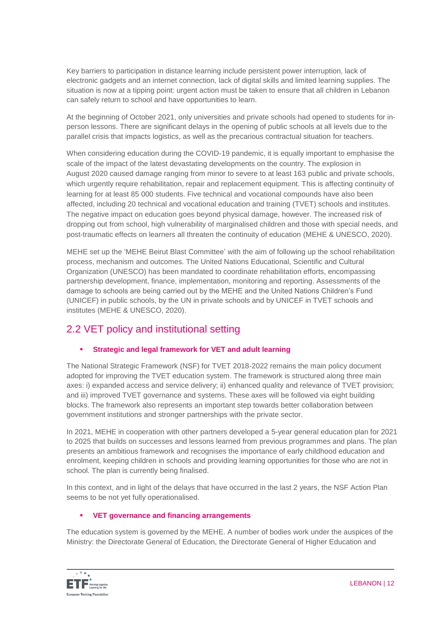Key barriers to participation in distance learning include persistent power interruption, lack of electronic gadgets and an internet connection, lack of digital skills and limited learning supplies. The situation is now at a tipping point: urgent action must be taken to ensure that all children in Lebanon can safely return to school and have opportunities to learn.

At the beginning of October 2021, only universities and private schools had opened to students for inperson lessons. There are significant delays in the opening of public schools at all levels due to the parallel crisis that impacts logistics, as well as the precarious contractual situation for teachers.

When considering education during the COVID-19 pandemic, it is equally important to emphasise the scale of the impact of the latest devastating developments on the country. The explosion in August 2020 caused damage ranging from minor to severe to at least 163 public and private schools, which urgently require rehabilitation, repair and replacement equipment. This is affecting continuity of learning for at least 85 000 students. Five technical and vocational compounds have also been affected, including 20 technical and vocational education and training (TVET) schools and institutes. The negative impact on education goes beyond physical damage, however. The increased risk of dropping out from school, high vulnerability of marginalised children and those with special needs, and post-traumatic effects on learners all threaten the continuity of education (MEHE & UNESCO, 2020).

MEHE set up the 'MEHE Beirut Blast Committee' with the aim of following up the school rehabilitation process, mechanism and outcomes. The United Nations Educational, Scientific and Cultural Organization (UNESCO) has been mandated to coordinate rehabilitation efforts, encompassing partnership development, finance, implementation, monitoring and reporting. Assessments of the damage to schools are being carried out by the MEHE and the United Nations Children's Fund (UNICEF) in public schools, by the UN in private schools and by UNICEF in TVET schools and institutes (MEHE & UNESCO, 2020).

# 2.2 VET policy and institutional setting

# **Strategic and legal framework for VET and adult learning**

The National Strategic Framework (NSF) for TVET 2018-2022 remains the main policy document adopted for improving the TVET education system. The framework is structured along three main axes: i) expanded access and service delivery; ii) enhanced quality and relevance of TVET provision; and iii) improved TVET governance and systems. These axes will be followed via eight building blocks. The framework also represents an important step towards better collaboration between government institutions and stronger partnerships with the private sector.

In 2021, MEHE in cooperation with other partners developed a 5-year general education plan for 2021 to 2025 that builds on successes and lessons learned from previous programmes and plans. The plan presents an ambitious framework and recognises the importance of early childhood education and enrolment, keeping children in schools and providing learning opportunities for those who are not in school. The plan is currently being finalised.

In this context, and in light of the delays that have occurred in the last 2 years, the NSF Action Plan seems to be not yet fully operationalised.

# **VET governance and financing arrangements**

The education system is governed by the MEHE. A number of bodies work under the auspices of the Ministry: the Directorate General of Education, the Directorate General of Higher Education and

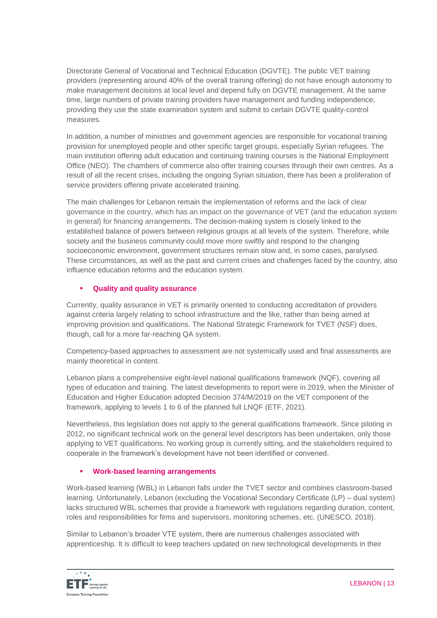Directorate General of Vocational and Technical Education (DGVTE). The public VET training providers (representing around 40% of the overall training offering) do not have enough autonomy to make management decisions at local level and depend fully on DGVTE management. At the same time, large numbers of private training providers have management and funding independence, providing they use the state examination system and submit to certain DGVTE quality-control measures.

In addition, a number of ministries and government agencies are responsible for vocational training provision for unemployed people and other specific target groups, especially Syrian refugees. The main institution offering adult education and continuing training courses is the National Employment Office (NEO). The chambers of commerce also offer training courses through their own centres. As a result of all the recent crises, including the ongoing Syrian situation, there has been a proliferation of service providers offering private accelerated training.

The main challenges for Lebanon remain the implementation of reforms and the lack of clear governance in the country, which has an impact on the governance of VET (and the education system in general) for financing arrangements. The decision-making system is closely linked to the established balance of powers between religious groups at all levels of the system. Therefore, while society and the business community could move more swiftly and respond to the changing socioeconomic environment, government structures remain slow and, in some cases, paralysed. These circumstances, as well as the past and current crises and challenges faced by the country, also influence education reforms and the education system.

# **Quality and quality assurance**

Currently, quality assurance in VET is primarily oriented to conducting accreditation of providers against criteria largely relating to school infrastructure and the like, rather than being aimed at improving provision and qualifications. The National Strategic Framework for TVET (NSF) does, though, call for a more far-reaching QA system.

Competency-based approaches to assessment are not systemically used and final assessments are mainly theoretical in content.

Lebanon plans a comprehensive eight-level national qualifications framework (NQF), covering all types of education and training. The latest developments to report were in 2019, when the Minister of Education and Higher Education adopted Decision 374/M/2019 on the VET component of the framework, applying to levels 1 to 6 of the planned full LNQF (ETF, 2021).

Nevertheless, this legislation does not apply to the general qualifications framework. Since piloting in 2012, no significant technical work on the general level descriptors has been undertaken, only those applying to VET qualifications. No working group is currently sitting, and the stakeholders required to cooperate in the framework's development have not been identified or convened.

# **Work-based learning arrangements**

Work-based learning (WBL) in Lebanon falls under the TVET sector and combines classroom-based learning. Unfortunately, Lebanon (excluding the Vocational Secondary Certificate (LP) – dual system) lacks structured WBL schemes that provide a framework with regulations regarding duration, content, roles and responsibilities for firms and supervisors, monitoring schemes, etc. (UNESCO, 2018).

Similar to Lebanon's broader VTE system, there are numerous challenges associated with apprenticeship. It is difficult to keep teachers updated on new technological developments in their

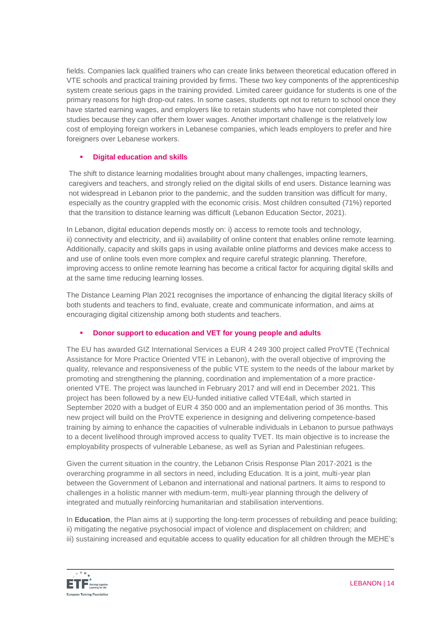fields. Companies lack qualified trainers who can create links between theoretical education offered in VTE schools and practical training provided by firms. These two key components of the apprenticeship system create serious gaps in the training provided. Limited career guidance for students is one of the primary reasons for high drop-out rates. In some cases, students opt not to return to school once they have started earning wages, and employers like to retain students who have not completed their studies because they can offer them lower wages. Another important challenge is the relatively low cost of employing foreign workers in Lebanese companies, which leads employers to prefer and hire foreigners over Lebanese workers.

## **Digital education and skills**

The shift to distance learning modalities brought about many challenges, impacting learners, caregivers and teachers, and strongly relied on the digital skills of end users. Distance learning was not widespread in Lebanon prior to the pandemic, and the sudden transition was difficult for many, especially as the country grappled with the economic crisis. Most children consulted (71%) reported that the transition to distance learning was difficult (Lebanon Education Sector, 2021).

In Lebanon, digital education depends mostly on: i) access to remote tools and technology, ii) connectivity and electricity, and iii) availability of online content that enables online remote learning. Additionally, capacity and skills gaps in using available online platforms and devices make access to and use of online tools even more complex and require careful strategic planning. Therefore, improving access to online remote learning has become a critical factor for acquiring digital skills and at the same time reducing learning losses.

The Distance Learning Plan 2021 recognises the importance of enhancing the digital literacy skills of both students and teachers to find, evaluate, create and communicate information, and aims at encouraging digital citizenship among both students and teachers.

# **Donor support to education and VET for young people and adults**

The EU has awarded GIZ International Services a EUR 4 249 300 project called ProVTE (Technical Assistance for More Practice Oriented VTE in Lebanon), with the overall objective of improving the quality, relevance and responsiveness of the public VTE system to the needs of the labour market by promoting and strengthening the planning, coordination and implementation of a more practiceoriented VTE. The project was launched in February 2017 and will end in December 2021. This project has been followed by a new EU-funded initiative called VTE4all, which started in September 2020 with a budget of EUR 4 350 000 and an implementation period of 36 months. This new project will build on the ProVTE experience in designing and delivering competence-based training by aiming to enhance the capacities of vulnerable individuals in Lebanon to pursue pathways to a decent livelihood through improved access to quality TVET. Its main objective is to increase the employability prospects of vulnerable Lebanese, as well as Syrian and Palestinian refugees.

Given the current situation in the country, the Lebanon Crisis Response Plan 2017-2021 is the overarching programme in all sectors in need, including Education. It is a joint, multi-year plan between the Government of Lebanon and international and national partners. It aims to respond to challenges in a holistic manner with medium-term, multi-year planning through the delivery of integrated and mutually reinforcing humanitarian and stabilisation interventions.

In **Education**, the Plan aims at i) supporting the long-term processes of rebuilding and peace building; ii) mitigating the negative psychosocial impact of violence and displacement on children; and iii) sustaining increased and equitable access to quality education for all children through the MEHE's

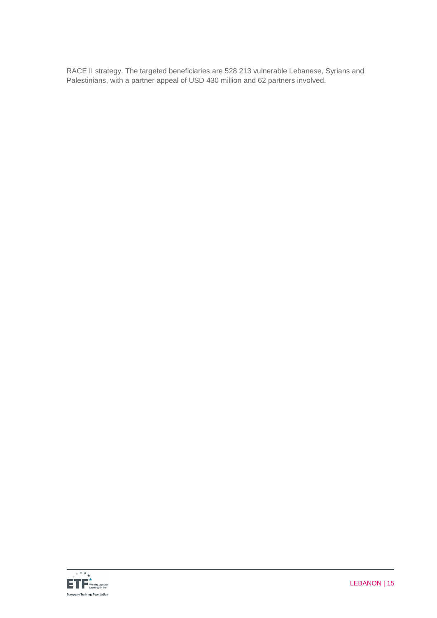RACE II strategy. The targeted beneficiaries are 528 213 vulnerable Lebanese, Syrians and Palestinians, with a partner appeal of USD 430 million and 62 partners involved.

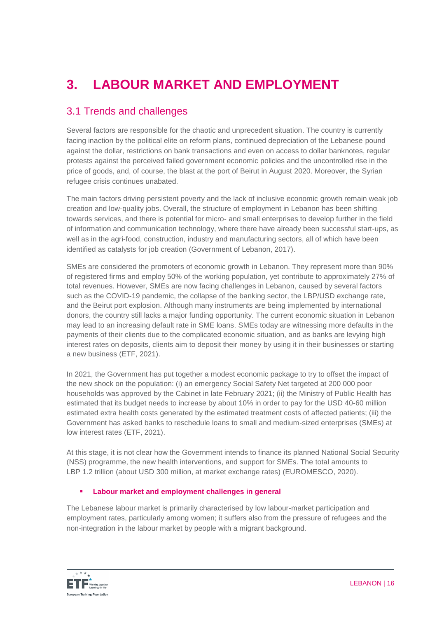# **3. LABOUR MARKET AND EMPLOYMENT**

# 3.1 Trends and challenges

Several factors are responsible for the chaotic and unprecedent situation. The country is currently facing inaction by the political elite on reform plans, continued depreciation of the Lebanese pound against the dollar, restrictions on bank transactions and even on access to dollar banknotes, regular protests against the perceived failed government economic policies and the uncontrolled rise in the price of goods, and, of course, the blast at the port of Beirut in August 2020. Moreover, the Syrian refugee crisis continues unabated.

The main factors driving persistent poverty and the lack of inclusive economic growth remain weak job creation and low-quality jobs. Overall, the structure of employment in Lebanon has been shifting towards services, and there is potential for micro- and small enterprises to develop further in the field of information and communication technology, where there have already been successful start-ups, as well as in the agri-food, construction, industry and manufacturing sectors, all of which have been identified as catalysts for job creation (Government of Lebanon, 2017).

SMEs are considered the promoters of economic growth in Lebanon. They represent more than 90% of registered firms and employ 50% of the working population, yet contribute to approximately 27% of total revenues. However, SMEs are now facing challenges in Lebanon, caused by several factors such as the COVID-19 pandemic, the collapse of the banking sector, the LBP/USD exchange rate, and the Beirut port explosion. Although many instruments are being implemented by international donors, the country still lacks a major funding opportunity. The current economic situation in Lebanon may lead to an increasing default rate in SME loans. SMEs today are witnessing more defaults in the payments of their clients due to the complicated economic situation, and as banks are levying high interest rates on deposits, clients aim to deposit their money by using it in their businesses or starting a new business (ETF, 2021).

In 2021, the Government has put together a modest economic package to try to offset the impact of the new shock on the population: (i) an emergency Social Safety Net targeted at 200 000 poor households was approved by the Cabinet in late February 2021; (ii) the Ministry of Public Health has estimated that its budget needs to increase by about 10% in order to pay for the USD 40-60 [million](http://www.institutdesfinances.gov.lb/publication/the-economic-cost-of-policy-action-against-the-outbreak-scenarios-of-COVID-19-in-lebanon/)  [estimated extra health costs](http://www.institutdesfinances.gov.lb/publication/the-economic-cost-of-policy-action-against-the-outbreak-scenarios-of-COVID-19-in-lebanon/) generated by the estimated treatment costs of affected patients; (iii) the Government has asked banks to reschedule loans to small and medium-sized enterprises (SMEs) at low interest rates (ETF, 2021).

At this stage, it is not clear how the Government intends to finance its planned National Social Security (NSS) programme, the new health interventions, and support for SMEs. The total amounts to LBP 1.2 trillion (about USD 300 million, at market exchange rates) (EUROMESCO, 2020).

# **Labour market and employment challenges in general**

The Lebanese labour market is primarily characterised by low labour-market participation and employment rates, particularly among women; it suffers also from the pressure of refugees and the non-integration in the labour market by people with a migrant background.

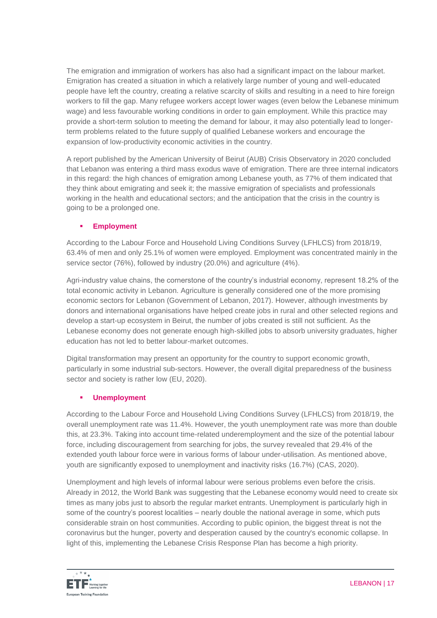The emigration and immigration of workers has also had a significant impact on the labour market. Emigration has created a situation in which a relatively large number of young and well-educated people have left the country, creating a relative scarcity of skills and resulting in a need to hire foreign workers to fill the gap. Many refugee workers accept lower wages (even below the Lebanese minimum wage) and less favourable working conditions in order to gain employment. While this practice may provide a short-term solution to meeting the demand for labour, it may also potentially lead to longerterm problems related to the future supply of qualified Lebanese workers and encourage the expansion of low-productivity economic activities in the country.

A report published by the American University of Beirut (AUB) Crisis Observatory in 2020 concluded that Lebanon was entering a third mass exodus wave of emigration. There are three internal indicators in this regard: the high chances of emigration among Lebanese youth, as 77% of them indicated that they think about emigrating and seek it; the massive emigration of specialists and professionals working in the health and educational sectors; and the anticipation that the crisis in the country is going to be a prolonged one.

# **Employment**

According to the Labour Force and Household Living Conditions Survey (LFHLCS) from 2018/19, 63.4% of men and only 25.1% of women were employed. Employment was concentrated mainly in the service sector (76%), followed by industry (20.0%) and agriculture (4%).

Agri-industry value chains, the cornerstone of the country's industrial economy, represent 18.2% of the total economic activity in Lebanon. Agriculture is generally considered one of the more promising economic sectors for Lebanon (Government of Lebanon, 2017). However, although investments by donors and international organisations have helped create jobs in rural and other selected regions and develop a start-up ecosystem in Beirut, the number of jobs created is still not sufficient. As the Lebanese economy does not generate enough high-skilled jobs to absorb university graduates, higher education has not led to better labour-market outcomes.

Digital transformation may present an opportunity for the country to support economic growth, particularly in some industrial sub-sectors. However, the overall digital preparedness of the business sector and society is rather low (EU, 2020).

# **Unemployment**

According to the Labour Force and Household Living Conditions Survey (LFHLCS) from 2018/19, the overall unemployment rate was 11.4%. However, the youth unemployment rate was more than double this, at 23.3%. Taking into account time-related underemployment and the size of the potential labour force, including discouragement from searching for jobs, the survey revealed that 29.4% of the extended youth labour force were in various forms of labour under-utilisation. As mentioned above, youth are significantly exposed to unemployment and inactivity risks (16.7%) (CAS, 2020).

Unemployment and high levels of informal labour were serious problems even before the crisis. Already in 2012, the World Bank was suggesting that the Lebanese economy would need to create six times as many jobs just to absorb the regular market entrants. Unemployment is particularly high in some of the country's poorest localities – nearly double the national average in some, which puts considerable strain on host communities. According to public opinion, the biggest threat is not the coronavirus but the hunger, poverty and desperation caused by the country's economic collapse. In light of this, implementing the Lebanese Crisis Response Plan has become a high priority.

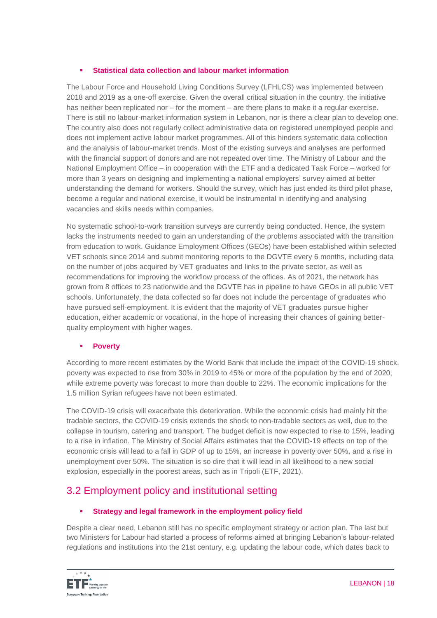# **Statistical data collection and labour market information**

The Labour Force and Household Living Conditions Survey (LFHLCS) was implemented between 2018 and 2019 as a one-off exercise. Given the overall critical situation in the country, the initiative has neither been replicated nor – for the moment – are there plans to make it a regular exercise. There is still no labour-market information system in Lebanon, nor is there a clear plan to develop one. The country also does not regularly collect administrative data on registered unemployed people and does not implement active labour market programmes. All of this hinders systematic data collection and the analysis of labour-market trends. Most of the existing surveys and analyses are performed with the financial support of donors and are not repeated over time. The Ministry of Labour and the National Employment Office – in cooperation with the ETF and a dedicated Task Force – worked for more than 3 years on designing and implementing a national employers' survey aimed at better understanding the demand for workers. Should the survey, which has just ended its third pilot phase, become a regular and national exercise, it would be instrumental in identifying and analysing vacancies and skills needs within companies.

No systematic school-to-work transition surveys are currently being conducted. Hence, the system lacks the instruments needed to gain an understanding of the problems associated with the transition from education to work. Guidance Employment Offices (GEOs) have been established within selected VET schools since 2014 and submit monitoring reports to the DGVTE every 6 months, including data on the number of jobs acquired by VET graduates and links to the private sector, as well as recommendations for improving the workflow process of the offices. As of 2021, the network has grown from 8 offices to 23 nationwide and the DGVTE has in pipeline to have GEOs in all public VET schools. Unfortunately, the data collected so far does not include the percentage of graduates who have pursued self-employment. It is evident that the majority of VET graduates pursue higher education, either academic or vocational, in the hope of increasing their chances of gaining betterquality employment with higher wages.

# **Poverty**

According to more recent estimates by the World Bank that include the impact of the COVID-19 shock, poverty was expected to rise from 30% in 2019 to 45% or more of the population by the end of 2020, while extreme poverty was forecast to more than double to 22%. The economic implications for the 1.5 million Syrian refugees have not been estimated.

The COVID-19 crisis will exacerbate this deterioration. While the economic crisis had mainly hit the tradable sectors, the COVID-19 crisis extends the shock to non-tradable sectors as well, due to the collapse in tourism, catering and transport. The budget deficit is now expected to rise to 15%, leading to a rise in inflation. The Ministry of Social Affairs estimates that the COVID-19 effects on top of the economic crisis will lead to a fall in GDP of up to 15%, an increase in poverty over 50%, and a rise in unemployment over 50%. The situation is so dire that it will lead in all likelihood to a new social explosion, especially in the poorest areas, such as in Tripoli (ETF, 2021).

# 3.2 Employment policy and institutional setting

# **Strategy and legal framework in the employment policy field**

Despite a clear need, Lebanon still has no specific employment strategy or action plan. The last but two Ministers for Labour had started a process of reforms aimed at bringing Lebanon's labour-related regulations and institutions into the 21st century, e.g. updating the labour code, which dates back to

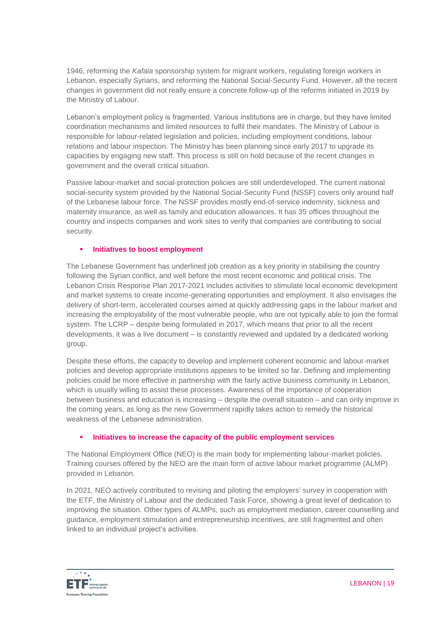1946, reforming the *Kafala* sponsorship system for migrant workers, regulating foreign workers in Lebanon, especially Syrians, and reforming the National Social-Security Fund. However, all the recent changes in government did not really ensure a concrete follow-up of the reforms initiated in 2019 by the Ministry of Labour.

Lebanon's employment policy is fragmented. Various institutions are in charge, but they have limited coordination mechanisms and limited resources to fulfil their mandates. The Ministry of Labour is responsible for labour-related legislation and policies, including employment conditions, labour relations and labour inspection. The Ministry has been planning since early 2017 to upgrade its capacities by engaging new staff. This process is still on hold because of the recent changes in government and the overall critical situation.

Passive labour-market and social-protection policies are still underdeveloped. The current national social-security system provided by the National Social-Security Fund (NSSF) covers only around half of the Lebanese labour force. The NSSF provides mostly end-of-service indemnity, sickness and maternity insurance, as well as family and education allowances. It has 35 offices throughout the country and inspects companies and work sites to verify that companies are contributing to social security.

## **Initiatives to boost employment**

The Lebanese Government has underlined job creation as a key priority in stabilising the country following the Syrian conflict, and well before the most recent economic and political crisis. The Lebanon Crisis Response Plan 2017-2021 includes activities to stimulate local economic development and market systems to create income-generating opportunities and employment. It also envisages the delivery of short-term, accelerated courses aimed at quickly addressing gaps in the labour market and increasing the employability of the most vulnerable people, who are not typically able to join the formal system. The LCRP – despite being formulated in 2017, which means that prior to all the recent developments, it was a live document – is constantly reviewed and updated by a dedicated working group.

Despite these efforts, the capacity to develop and implement coherent economic and labour-market policies and develop appropriate institutions appears to be limited so far. Defining and implementing policies could be more effective in partnership with the fairly active business community in Lebanon, which is usually willing to assist these processes. Awareness of the importance of cooperation between business and education is increasing – despite the overall situation – and can only improve in the coming years, as long as the new Government rapidly takes action to remedy the historical weakness of the Lebanese administration.

## **Initiatives to increase the capacity of the public employment services**

The National Employment Office (NEO) is the main body for implementing labour-market policies. Training courses offered by the NEO are the main form of active labour market programme (ALMP) provided in Lebanon.

In 2021, NEO actively contributed to revising and piloting the employers' survey in cooperation with the ETF, the Ministry of Labour and the dedicated Task Force, showing a great level of dedication to improving the situation. Other types of ALMPs, such as employment mediation, career counselling and guidance, employment stimulation and entrepreneurship incentives, are still fragmented and often linked to an individual project's activities.

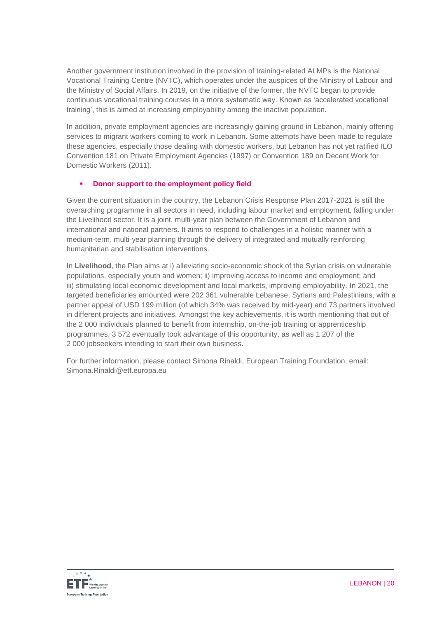Another government institution involved in the provision of training-related ALMPs is the National Vocational Training Centre (NVTC), which operates under the auspices of the Ministry of Labour and the Ministry of Social Affairs. In 2019, on the initiative of the former, the NVTC began to provide continuous vocational training courses in a more systematic way. Known as 'accelerated vocational training', this is aimed at increasing employability among the inactive population.

In addition, private employment agencies are increasingly gaining ground in Lebanon, mainly offering services to migrant workers coming to work in Lebanon. Some attempts have been made to regulate these agencies, especially those dealing with domestic workers, but Lebanon has not yet ratified ILO Convention 181 on Private Employment Agencies (1997) or Convention 189 on Decent Work for Domestic Workers (2011).

# **Donor support to the employment policy field**

Given the current situation in the country, the Lebanon Crisis Response Plan 2017-2021 is still the overarching programme in all sectors in need, including labour market and employment, falling under the Livelihood sector. It is a joint, multi-year plan between the Government of Lebanon and international and national partners. It aims to respond to challenges in a holistic manner with a medium-term, multi-year planning through the delivery of integrated and mutually reinforcing humanitarian and stabilisation interventions.

In **Livelihood**, the Plan aims at i) alleviating socio-economic shock of the Syrian crisis on vulnerable populations, especially youth and women; ii) improving access to income and employment; and iii) stimulating local economic development and local markets, improving employability. In 2021, the targeted beneficiaries amounted were 202 361 vulnerable Lebanese, Syrians and Palestinians, with a partner appeal of USD 199 million (of which 34% was received by mid-year) and 73 partners involved in different projects and initiatives. Amongst the key achievements, it is worth mentioning that out of the 2 000 individuals planned to benefit from internship, on-the-job training or apprenticeship programmes, 3 572 eventually took advantage of this opportunity, as well as 1 207 of the 2 000 jobseekers intending to start their own business.

For further information, please contact Simona Rinaldi, European Training Foundation, email: Simona.Rinaldi@etf.europa.eu

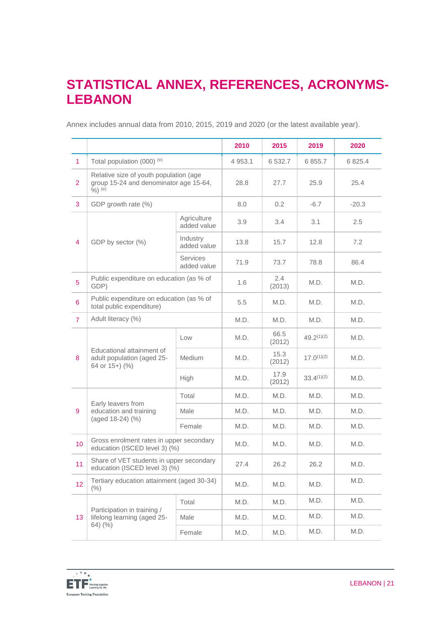# **STATISTICAL ANNEX, REFERENCES, ACRONYMS-LEBANON**

Annex includes annual data from 2010, 2015, 2019 and 2020 (or the latest available year).

|                 |                                                                                               |                                | 2010      | 2015           | 2019            | 2020      |
|-----------------|-----------------------------------------------------------------------------------------------|--------------------------------|-----------|----------------|-----------------|-----------|
| $\overline{1}$  | Total population (000) (e)                                                                    |                                | 4 9 5 3.1 | 6 532.7        | 6 8 5 5.7       | 6 8 2 5.4 |
| $\overline{2}$  | Relative size of youth population (age<br>group 15-24 and denominator age 15-64,<br>$%$ ) (e) |                                | 28.8      | 27.7           | 25.9            | 25.4      |
| 3               | GDP growth rate (%)                                                                           |                                | 8.0       | 0.2            | $-6.7$          | $-20.3$   |
|                 | GDP by sector (%)                                                                             | Agriculture<br>added value     | 3.9       | 3.4            | 3.1             | 2.5       |
| 4               |                                                                                               | Industry<br>added value        | 13.8      | 15.7           | 12.8            | 7.2       |
|                 |                                                                                               | <b>Services</b><br>added value | 71.9      | 73.7           | 78.8            | 86.4      |
| $5\phantom{.0}$ | Public expenditure on education (as % of<br>GDP)                                              |                                | 1.6       | 2.4<br>(2013)  | M.D.            | M.D.      |
| $6\phantom{1}$  | Public expenditure on education (as % of<br>total public expenditure)                         |                                | 5.5       | M.D.           | M.D.            | M.D.      |
| $\overline{7}$  | Adult literacy (%)                                                                            |                                | M.D.      | M.D.           | M.D.            | M.D.      |
|                 | Educational attainment of<br>adult population (aged 25-<br>64 or 15+) (%)                     | Low                            | M.D.      | 66.5<br>(2012) | $49.2^{(1)(2)}$ | M.D.      |
| 8               |                                                                                               | <b>Medium</b>                  | M.D.      | 15.3<br>(2012) | $17.0^{(1)(2)}$ | M.D.      |
|                 |                                                                                               | High                           | M.D.      | 17.9<br>(2012) | $33.4^{(1)(2)}$ | M.D.      |
|                 | Early leavers from<br>education and training<br>(aged 18-24) (%)                              | Total                          | M.D.      | M.D.           | M.D.            | M.D.      |
| 9               |                                                                                               | Male                           | M.D.      | M.D.           | M.D.            | M.D.      |
|                 |                                                                                               | Female                         | M.D.      | M.D.           | M.D.            | M.D.      |
| 10              | Gross enrolment rates in upper secondary<br>education (ISCED level 3) (%)                     |                                | M.D.      | M.D.           | M.D.            | M.D.      |
| 11              | Share of VET students in upper secondary<br>education (ISCED level 3) (%)                     |                                | 27.4      | 26.2           | 26.2            | M.D.      |
| 12              | Tertiary education attainment (aged 30-34)<br>(% )                                            |                                | M.D.      | M.D.           | M.D.            | M.D.      |
|                 | Participation in training /<br>lifelong learning (aged 25-<br>$64)$ (%)                       | Total                          | M.D.      | M.D.           | M.D.            | M.D.      |
| 13              |                                                                                               | Male                           | M.D.      | M.D.           | M.D.            | M.D.      |
|                 |                                                                                               | Female                         | M.D.      | M.D.           | M.D.            | M.D.      |

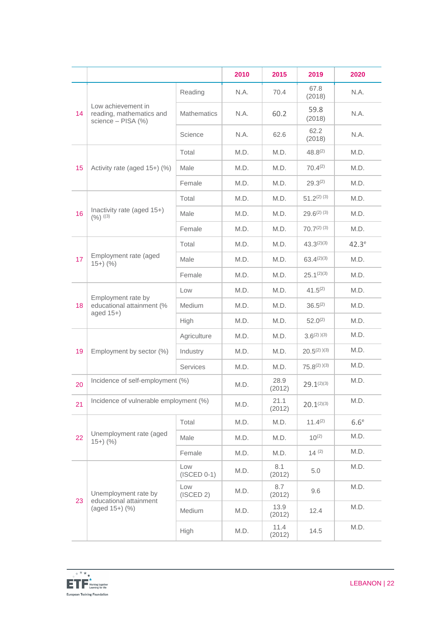|    |                                                                      |                      | 2010 | 2015           | 2019               | 2020             |
|----|----------------------------------------------------------------------|----------------------|------|----------------|--------------------|------------------|
| 14 | Low achievement in<br>reading, mathematics and<br>science - PISA (%) | Reading              | N.A. | 70.4           | 67.8<br>(2018)     | N.A.             |
|    |                                                                      | <b>Mathematics</b>   | N.A. | 60.2           | 59.8<br>(2018)     | N.A.             |
|    |                                                                      | Science              | N.A. | 62.6           | 62.2<br>(2018)     | N.A.             |
|    | Activity rate (aged 15+) (%)                                         | Total                | M.D. | M.D.           | $48.8^{(2)}$       | M.D.             |
| 15 |                                                                      | Male                 | M.D. | M.D.           | $70.4^{(2)}$       | M.D.             |
|    |                                                                      | Female               | M.D. | M.D.           | $29.3^{(2)}$       | M.D.             |
|    |                                                                      | Total                | M.D. | M.D.           | $51.2^{(2)(3)}$    | M.D.             |
| 16 | Inactivity rate (aged 15+)<br>$(9/6)$ ((3)                           | Male                 | M.D. | M.D.           | $29.6^{(2)(3)}$    | M.D.             |
|    |                                                                      | Female               | M.D. | M.D.           | $70.7(2)$ (3)      | M.D.             |
|    |                                                                      | Total                | M.D. | M.D.           | $43.3^{(2)(3)}$    | $42.3^e$         |
| 17 | Employment rate (aged<br>$15+)$ (%)                                  | Male                 | M.D. | M.D.           | $63.4^{(2)(3)}$    | M.D.             |
|    |                                                                      | Female               | M.D. | M.D.           | $25.1^{(2)(3)}$    | M.D.             |
|    | Employment rate by<br>educational attainment (%<br>aged $15+$ )      | Low                  | M.D. | M.D.           | $41.5^{(2)}$       | M.D.             |
| 18 |                                                                      | <b>Medium</b>        | M.D. | M.D.           | $36.5^{(2)}$       | M.D.             |
|    |                                                                      | High                 | M.D. | M.D.           | $52.0^{(2)}$       | M.D.             |
| 19 | Employment by sector (%)                                             | Agriculture          | M.D. | M.D.           | $3.6^{(2)}$ $)(3)$ | M.D.             |
|    |                                                                      | Industry             | M.D. | M.D.           | $20.5^{(2)}$ $(3)$ | M.D.             |
|    |                                                                      | <b>Services</b>      | M.D. | M.D.           | $75.8^{(2)}$ $(3)$ | M.D.             |
| 20 | Incidence of self-employment (%)                                     |                      | M.D. | 28.9<br>(2012) | $29.1^{(2)(3)}$    | M.D.             |
| 21 | Incidence of vulnerable employment (%)                               |                      | M.D. | 21.1<br>(2012) | $20.1^{(2)(3)}$    | M.D.             |
|    | Unemployment rate (aged<br>$15+)$ (%)                                | Total                | M.D. | M.D.           | $11.4^{(2)}$       | 6.6 <sup>e</sup> |
| 22 |                                                                      | Male                 | M.D. | M.D.           | $10^{(2)}$         | M.D.             |
|    |                                                                      | Female               | M.D. | M.D.           | 14(2)              | M.D.             |
| 23 | Unemployment rate by<br>educational attainment<br>(aged 15+) (%)     | Low<br>$(ISCED 0-1)$ | M.D. | 8.1<br>(2012)  | 5.0                | M.D.             |
|    |                                                                      | Low<br>(ISCED 2)     | M.D. | 8.7<br>(2012)  | 9.6                | M.D.             |
|    |                                                                      | Medium               | M.D. | 13.9<br>(2012) | 12.4               | M.D.             |
|    |                                                                      | High                 | M.D. | 11.4<br>(2012) | 14.5               | M.D.             |

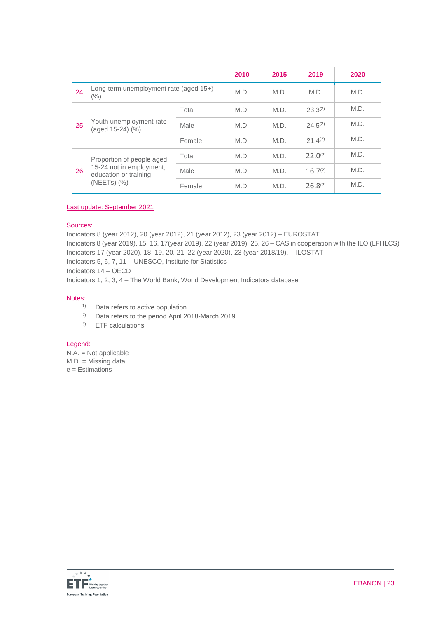|    |                                                                                                    |        | 2010 | 2015 | 2019         | 2020 |
|----|----------------------------------------------------------------------------------------------------|--------|------|------|--------------|------|
| 24 | Long-term unemployment rate (aged 15+)<br>$(\% )$                                                  |        | M.D. | M.D. | M.D.         | M.D. |
| 25 | Youth unemployment rate<br>(aged 15-24) (%)                                                        | Total  | M.D. | M.D. | $23.3^{(2)}$ | M.D. |
|    |                                                                                                    | Male   | M.D. | M.D. | $24.5^{(2)}$ | M.D. |
|    |                                                                                                    | Female | M.D. | M.D. | $21.4^{(2)}$ | M.D. |
| 26 | Proportion of people aged<br>15-24 not in employment,<br>education or training<br>$(NEETS)$ $(\%)$ | Total  | M.D. | M.D. | $22.0^{(2)}$ | M.D. |
|    |                                                                                                    | Male   | M.D. | M.D. | $16.7^{(2)}$ | M.D. |
|    |                                                                                                    | Female | M.D. | M.D. | $26.8^{(2)}$ | M.D. |

Last update: September 2021

## Sources:

Indicators 8 (year 2012), 20 (year 2012), 21 (year 2012), 23 (year 2012) – EUROSTAT Indicators 8 (year 2019), 15, 16, 17(year 2019), 22 (year 2019), 25, 26 – CAS in cooperation with the ILO (LFHLCS) Indicators 17 (year 2020), 18, 19, 20, 21, 22 (year 2020), 23 (year 2018/19), – ILOSTAT Indicators 5, 6, 7, 11 – UNESCO, Institute for Statistics Indicators 14 – OECD Indicators 1, 2, 3, 4 – The World Bank, World Development Indicators database

#### Notes:

- <sup>1)</sup> Data refers to active population
- 2) Data refers to the period April 2018-March 2019
- 3) ETF calculations

#### Legend:

N.A. = Not applicable M.D. = Missing data e = Estimations

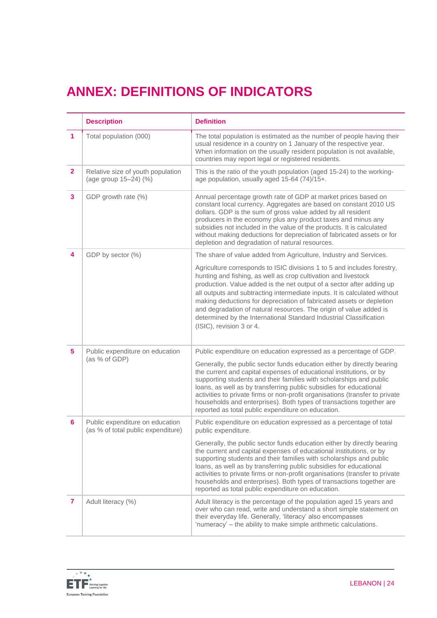# **ANNEX: DEFINITIONS OF INDICATORS**

|                | <b>Description</b>                                                    | <b>Definition</b>                                                                                                                                                                                                                                                                                                                                                                                                                                                                                                                               |
|----------------|-----------------------------------------------------------------------|-------------------------------------------------------------------------------------------------------------------------------------------------------------------------------------------------------------------------------------------------------------------------------------------------------------------------------------------------------------------------------------------------------------------------------------------------------------------------------------------------------------------------------------------------|
| 1              | Total population (000)                                                | The total population is estimated as the number of people having their<br>usual residence in a country on 1 January of the respective year.<br>When information on the usually resident population is not available,<br>countries may report legal or registered residents.                                                                                                                                                                                                                                                                     |
| $\overline{2}$ | Relative size of youth population<br>(age group 15-24) (%)            | This is the ratio of the youth population (aged 15-24) to the working-<br>age population, usually aged 15-64 (74)/15+.                                                                                                                                                                                                                                                                                                                                                                                                                          |
| 3              | GDP growth rate (%)                                                   | Annual percentage growth rate of GDP at market prices based on<br>constant local currency. Aggregates are based on constant 2010 US<br>dollars. GDP is the sum of gross value added by all resident<br>producers in the economy plus any product taxes and minus any<br>subsidies not included in the value of the products. It is calculated<br>without making deductions for depreciation of fabricated assets or for<br>depletion and degradation of natural resources.                                                                      |
| 4              | GDP by sector (%)                                                     | The share of value added from Agriculture, Industry and Services.                                                                                                                                                                                                                                                                                                                                                                                                                                                                               |
|                |                                                                       | Agriculture corresponds to ISIC divisions 1 to 5 and includes forestry,<br>hunting and fishing, as well as crop cultivation and livestock<br>production. Value added is the net output of a sector after adding up<br>all outputs and subtracting intermediate inputs. It is calculated without<br>making deductions for depreciation of fabricated assets or depletion<br>and degradation of natural resources. The origin of value added is<br>determined by the International Standard Industrial Classification<br>(ISIC), revision 3 or 4. |
| 5              | Public expenditure on education<br>(as % of GDP)                      | Public expenditure on education expressed as a percentage of GDP.                                                                                                                                                                                                                                                                                                                                                                                                                                                                               |
|                |                                                                       | Generally, the public sector funds education either by directly bearing<br>the current and capital expenses of educational institutions, or by<br>supporting students and their families with scholarships and public<br>loans, as well as by transferring public subsidies for educational<br>activities to private firms or non-profit organisations (transfer to private<br>households and enterprises). Both types of transactions together are<br>reported as total public expenditure on education.                                       |
| 6              | Public expenditure on education<br>(as % of total public expenditure) | Public expenditure on education expressed as a percentage of total<br>public expenditure.                                                                                                                                                                                                                                                                                                                                                                                                                                                       |
|                |                                                                       | Generally, the public sector funds education either by directly bearing<br>the current and capital expenses of educational institutions, or by<br>supporting students and their families with scholarships and public<br>loans, as well as by transferring public subsidies for educational<br>activities to private firms or non-profit organisations (transfer to private<br>households and enterprises). Both types of transactions together are<br>reported as total public expenditure on education.                                       |
| $\mathbf{7}$   | Adult literacy (%)                                                    | Adult literacy is the percentage of the population aged 15 years and<br>over who can read, write and understand a short simple statement on<br>their everyday life. Generally, 'literacy' also encompasses<br>'numeracy' - the ability to make simple arithmetic calculations.                                                                                                                                                                                                                                                                  |

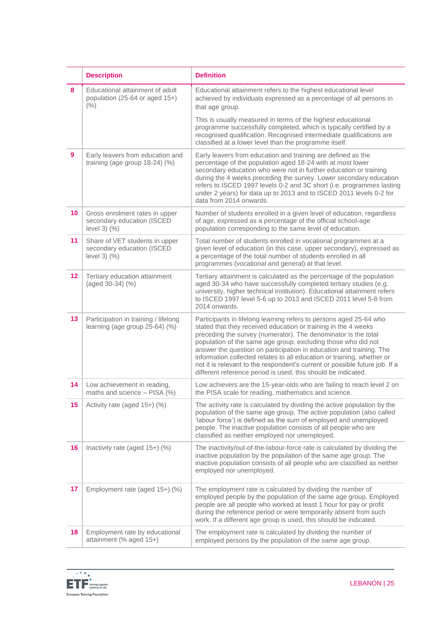|                 | <b>Description</b>                                                                 | <b>Definition</b>                                                                                                                                                                                                                                                                                                                                                                                                                                                                                                                                                        |
|-----------------|------------------------------------------------------------------------------------|--------------------------------------------------------------------------------------------------------------------------------------------------------------------------------------------------------------------------------------------------------------------------------------------------------------------------------------------------------------------------------------------------------------------------------------------------------------------------------------------------------------------------------------------------------------------------|
| 8               | Educational attainment of adult<br>population (25-64 or aged 15+)<br>(% )          | Educational attainment refers to the highest educational level<br>achieved by individuals expressed as a percentage of all persons in<br>that age group.                                                                                                                                                                                                                                                                                                                                                                                                                 |
|                 |                                                                                    | This is usually measured in terms of the highest educational<br>programme successfully completed, which is typically certified by a<br>recognised qualification. Recognised intermediate qualifications are<br>classified at a lower level than the programme itself.                                                                                                                                                                                                                                                                                                    |
| 9               | Early leavers from education and<br>training (age group $18-24$ ) (%)              | Early leavers from education and training are defined as the<br>percentage of the population aged 18-24 with at most lower<br>secondary education who were not in further education or training<br>during the 4 weeks preceding the survey. Lower secondary education<br>refers to ISCED 1997 levels 0-2 and 3C short (i.e. programmes lasting<br>under 2 years) for data up to 2013 and to ISCED 2011 levels 0-2 for<br>data from 2014 onwards.                                                                                                                         |
| 10 <sup>°</sup> | Gross enrolment rates in upper<br>secondary education (ISCED<br>level $3)$ $(\% )$ | Number of students enrolled in a given level of education, regardless<br>of age, expressed as a percentage of the official school-age<br>population corresponding to the same level of education.                                                                                                                                                                                                                                                                                                                                                                        |
| 11              | Share of VET students in upper<br>secondary education (ISCED<br>level $3)$ $(\% )$ | Total number of students enrolled in vocational programmes at a<br>given level of education (in this case, upper secondary), expressed as<br>a percentage of the total number of students enrolled in all<br>programmes (vocational and general) at that level.                                                                                                                                                                                                                                                                                                          |
| 12              | Tertiary education attainment<br>(aged 30-34) (%)                                  | Tertiary attainment is calculated as the percentage of the population<br>aged 30-34 who have successfully completed tertiary studies (e.g.<br>university, higher technical institution). Educational attainment refers<br>to ISCED 1997 level 5-6 up to 2013 and ISCED 2011 level 5-8 from<br>2014 onwards.                                                                                                                                                                                                                                                              |
| 13              | Participation in training / lifelong<br>learning (age group 25-64) (%)             | Participants in lifelong learning refers to persons aged 25-64 who<br>stated that they received education or training in the 4 weeks<br>preceding the survey (numerator). The denominator is the total<br>population of the same age group, excluding those who did not<br>answer the question on participation in education and training. The<br>information collected relates to all education or training, whether or<br>not it is relevant to the respondent's current or possible future job. If a<br>different reference period is used, this should be indicated. |
| 14              | Low achievement in reading,<br>maths and science - PISA (%)                        | Low achievers are the 15-year-olds who are failing to reach level 2 on<br>the PISA scale for reading, mathematics and science.                                                                                                                                                                                                                                                                                                                                                                                                                                           |
| 15              | Activity rate (aged 15+) (%)                                                       | The activity rate is calculated by dividing the active population by the<br>population of the same age group. The active population (also called<br>'labour force') is defined as the sum of employed and unemployed<br>people. The inactive population consists of all people who are<br>classified as neither employed nor unemployed.                                                                                                                                                                                                                                 |
| 16              | Inactivity rate (aged 15+) (%)                                                     | The inactivity/out-of-the-labour-force rate is calculated by dividing the<br>inactive population by the population of the same age group. The<br>inactive population consists of all people who are classified as neither<br>employed nor unemployed.                                                                                                                                                                                                                                                                                                                    |
| 17              | Employment rate (aged 15+) (%)                                                     | The employment rate is calculated by dividing the number of<br>employed people by the population of the same age group. Employed<br>people are all people who worked at least 1 hour for pay or profit<br>during the reference period or were temporarily absent from such<br>work. If a different age group is used, this should be indicated.                                                                                                                                                                                                                          |
| 18              | Employment rate by educational<br>attainment (% aged 15+)                          | The employment rate is calculated by dividing the number of<br>employed persons by the population of the same age group.                                                                                                                                                                                                                                                                                                                                                                                                                                                 |

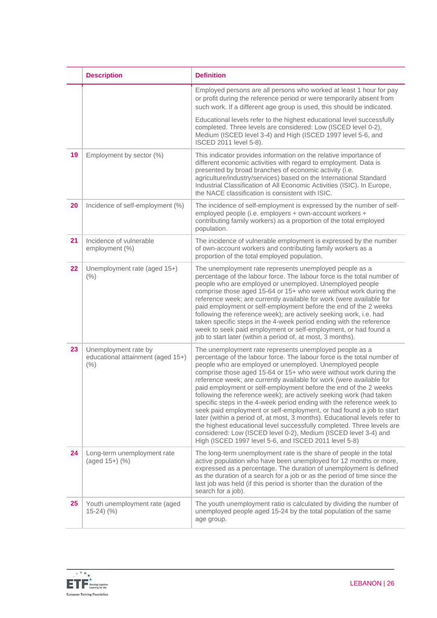|    | <b>Description</b>                                                | <b>Definition</b>                                                                                                                                                                                                                                                                                                                                                                                                                                                                                                                                                                                                                                                                                                                                                                                                                                                                                                           |
|----|-------------------------------------------------------------------|-----------------------------------------------------------------------------------------------------------------------------------------------------------------------------------------------------------------------------------------------------------------------------------------------------------------------------------------------------------------------------------------------------------------------------------------------------------------------------------------------------------------------------------------------------------------------------------------------------------------------------------------------------------------------------------------------------------------------------------------------------------------------------------------------------------------------------------------------------------------------------------------------------------------------------|
|    |                                                                   | Employed persons are all persons who worked at least 1 hour for pay<br>or profit during the reference period or were temporarily absent from<br>such work. If a different age group is used, this should be indicated.                                                                                                                                                                                                                                                                                                                                                                                                                                                                                                                                                                                                                                                                                                      |
|    |                                                                   | Educational levels refer to the highest educational level successfully<br>completed. Three levels are considered: Low (ISCED level 0-2),<br>Medium (ISCED level 3-4) and High (ISCED 1997 level 5-6, and<br>ISCED 2011 level 5-8).                                                                                                                                                                                                                                                                                                                                                                                                                                                                                                                                                                                                                                                                                          |
| 19 | Employment by sector (%)                                          | This indicator provides information on the relative importance of<br>different economic activities with regard to employment. Data is<br>presented by broad branches of economic activity (i.e.<br>agriculture/industry/services) based on the International Standard<br>Industrial Classification of All Economic Activities (ISIC). In Europe,<br>the NACE classification is consistent with ISIC.                                                                                                                                                                                                                                                                                                                                                                                                                                                                                                                        |
| 20 | Incidence of self-employment (%)                                  | The incidence of self-employment is expressed by the number of self-<br>employed people (i.e. employers + own-account workers +<br>contributing family workers) as a proportion of the total employed<br>population.                                                                                                                                                                                                                                                                                                                                                                                                                                                                                                                                                                                                                                                                                                        |
| 21 | Incidence of vulnerable<br>employment (%)                         | The incidence of vulnerable employment is expressed by the number<br>of own-account workers and contributing family workers as a<br>proportion of the total employed population.                                                                                                                                                                                                                                                                                                                                                                                                                                                                                                                                                                                                                                                                                                                                            |
| 22 | Unemployment rate (aged 15+)<br>(% )                              | The unemployment rate represents unemployed people as a<br>percentage of the labour force. The labour force is the total number of<br>people who are employed or unemployed. Unemployed people<br>comprise those aged 15-64 or 15+ who were without work during the<br>reference week; are currently available for work (were available for<br>paid employment or self-employment before the end of the 2 weeks<br>following the reference week); are actively seeking work, i.e. had<br>taken specific steps in the 4-week period ending with the reference<br>week to seek paid employment or self-employment, or had found a<br>job to start later (within a period of, at most, 3 months).                                                                                                                                                                                                                              |
| 23 | Unemployment rate by<br>educational attainment (aged 15+)<br>(% ) | The unemployment rate represents unemployed people as a<br>percentage of the labour force. The labour force is the total number of<br>people who are employed or unemployed. Unemployed people<br>comprise those aged 15-64 or 15+ who were without work during the<br>reference week; are currently available for work (were available for<br>paid employment or self-employment before the end of the 2 weeks<br>following the reference week); are actively seeking work (had taken<br>specific steps in the 4-week period ending with the reference week to<br>seek paid employment or self-employment, or had found a job to start<br>later (within a period of, at most, 3 months). Educational levels refer to<br>the highest educational level successfully completed. Three levels are<br>considered: Low (ISCED level 0-2), Medium (ISCED level 3-4) and<br>High (ISCED 1997 level 5-6, and ISCED 2011 level 5-8) |
| 24 | Long-term unemployment rate<br>(aged 15+) (%)                     | The long-term unemployment rate is the share of people in the total<br>active population who have been unemployed for 12 months or more,<br>expressed as a percentage. The duration of unemployment is defined<br>as the duration of a search for a job or as the period of time since the<br>last job was held (if this period is shorter than the duration of the<br>search for a job).                                                                                                                                                                                                                                                                                                                                                                                                                                                                                                                                   |
| 25 | Youth unemployment rate (aged<br>$15-24)$ (%)                     | The youth unemployment ratio is calculated by dividing the number of<br>unemployed people aged 15-24 by the total population of the same<br>age group.                                                                                                                                                                                                                                                                                                                                                                                                                                                                                                                                                                                                                                                                                                                                                                      |

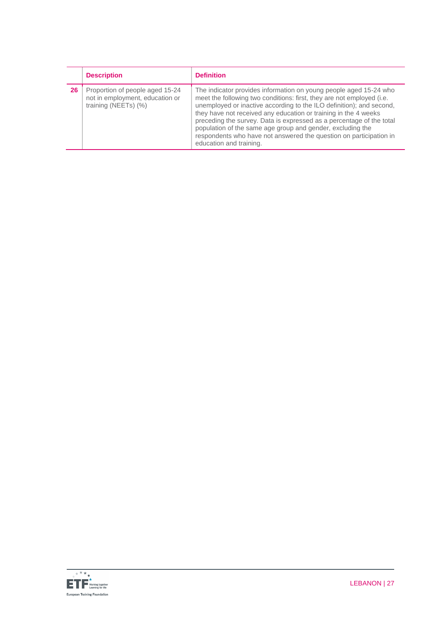|    | <b>Description</b>                                                                         | <b>Definition</b>                                                                                                                                                                                                                                                                                                                                                                                                                                                                                                            |
|----|--------------------------------------------------------------------------------------------|------------------------------------------------------------------------------------------------------------------------------------------------------------------------------------------------------------------------------------------------------------------------------------------------------------------------------------------------------------------------------------------------------------------------------------------------------------------------------------------------------------------------------|
| 26 | Proportion of people aged 15-24<br>not in employment, education or<br>training (NEETs) (%) | The indicator provides information on young people aged 15-24 who<br>meet the following two conditions: first, they are not employed (i.e.<br>unemployed or inactive according to the ILO definition); and second,<br>they have not received any education or training in the 4 weeks<br>preceding the survey. Data is expressed as a percentage of the total<br>population of the same age group and gender, excluding the<br>respondents who have not answered the question on participation in<br>education and training. |

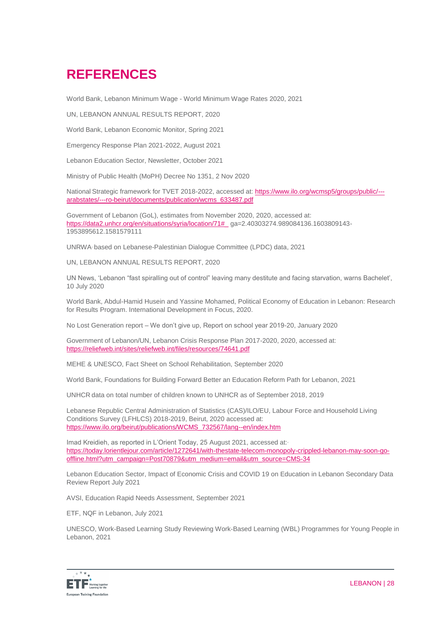# **REFERENCES**

World Bank, Lebanon Minimum Wage - World Minimum Wage Rates 2020, 2021

UN, LEBANON ANNUAL RESULTS REPORT, 2020

World Bank, Lebanon Economic Monitor, Spring 2021

Emergency Response Plan 2021-2022, August 2021

Lebanon Education Sector, Newsletter, October 2021

Ministry of Public Health (MoPH) Decree No 1351, 2 Nov 2020

National Strategic framework for TVET 2018-2022, accessed at: [https://www.ilo.org/wcmsp5/groups/public/--](https://www.ilo.org/wcmsp5/groups/public/---arabstates/---ro-beirut/documents/publication/wcms_633487.pdf) [arabstates/---ro-beirut/documents/publication/wcms\\_633487.pdf](https://www.ilo.org/wcmsp5/groups/public/---arabstates/---ro-beirut/documents/publication/wcms_633487.pdf)

Government of Lebanon (GoL), estimates from November 2020, 2020, accessed at: [https://data2.unhcr.org/en/situations/syria/location/71#\\_](https://data2.unhcr.org/en/situations/syria/location/71#_) ga=2.40303274.989084136.1603809143- 1953895612.1581579111

UNRWA, based on Lebanese-Palestinian Dialogue Committee (LPDC) data, 2021

UN, LEBANON ANNUAL RESULTS REPORT, 2020

UN News, 'Lebanon "fast spiralling out of control" leaving many destitute and facing starvation, warns Bachelet', 10 July 2020

World Bank, Abdul-Hamid Husein and Yassine Mohamed, Political Economy of Education in Lebanon: Research for Results Program. International Development in Focus, 2020.

No Lost Generation report – We don't give up, Report on school year 2019-20, January 2020

Government of Lebanon/UN, Lebanon Crisis Response Plan 2017-2020, 2020, accessed at: <https://reliefweb.int/sites/reliefweb.int/files/resources/74641.pdf>

MEHE & UNESCO, Fact Sheet on School Rehabilitation, September 2020

World Bank, Foundations for Building Forward Better an Education Reform Path for Lebanon, 2021

UNHCR data on total number of children known to UNHCR as of September 2018, 2019

Lebanese Republic Central Administration of Statistics (CAS)/ILO/EU, Labour Force and Household Living Conditions Survey (LFHLCS) 2018-2019, Beirut, 2020 accessed at: [https://www.ilo.org/beirut/publications/WCMS\\_732567/lang--en/index.htm](https://www.ilo.org/beirut/publications/WCMS_732567/lang--en/index.htm)

Imad Kreidieh, as reported in L'Orient Today, 25 August 2021, accessed at: [https://today.lorientlejour.com/article/1272641/with-thestate-telecom-monopoly-crippled-lebanon-may-soon-go](https://today.lorientlejour.com/article/1272641/with-thestate-telecom-monopoly-crippled-lebanon-may-soon-go-offline.html?utm_campaign=Post70879&utm_medium=email&utm_source=CMS-34)[offline.html?utm\\_campaign=Post70879&utm\\_medium=email&utm\\_source=CMS-34](https://today.lorientlejour.com/article/1272641/with-thestate-telecom-monopoly-crippled-lebanon-may-soon-go-offline.html?utm_campaign=Post70879&utm_medium=email&utm_source=CMS-34)

Lebanon Education Sector, Impact of Economic Crisis and COVID 19 on Education in Lebanon Secondary Data Review Report July 2021

AVSI, Education Rapid Needs Assessment, September 2021

ETF, NQF in Lebanon, July 2021

UNESCO, Work-Based Learning Study Reviewing Work-Based Learning (WBL) Programmes for Young People in Lebanon, 2021

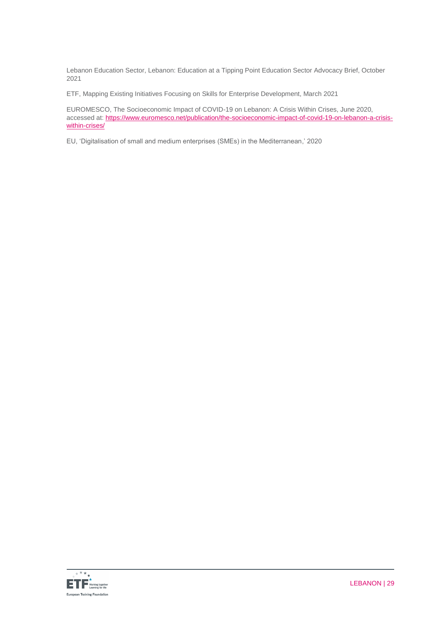Lebanon Education Sector, Lebanon: Education at a Tipping Point Education Sector Advocacy Brief, October 2021

ETF, Mapping Existing Initiatives Focusing on Skills for Enterprise Development, March 2021

EUROMESCO, The Socioeconomic Impact of COVID-19 on Lebanon: A Crisis Within Crises, June 2020, accessed at: [https://www.euromesco.net/publication/the-socioeconomic-impact-of-covid-19-on-lebanon-a-crisis](https://www.euromesco.net/publication/the-socioeconomic-impact-of-covid-19-on-lebanon-a-crisis-within-crises/)[within-crises/](https://www.euromesco.net/publication/the-socioeconomic-impact-of-covid-19-on-lebanon-a-crisis-within-crises/)

EU, 'Digitalisation of small and medium enterprises (SMEs) in the Mediterranean,' 2020

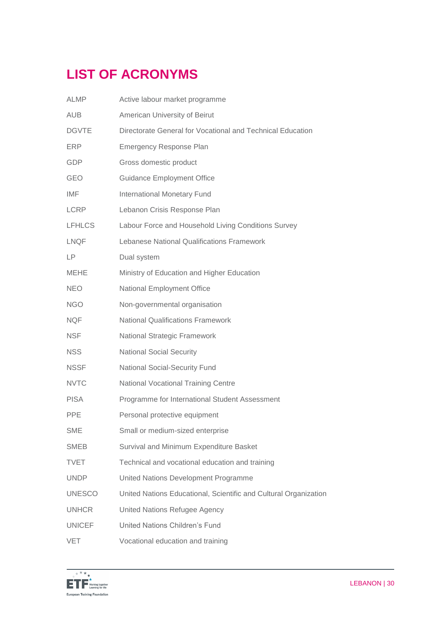# **LIST OF ACRONYMS**

| <b>ALMP</b>   | Active labour market programme                                   |
|---------------|------------------------------------------------------------------|
| <b>AUB</b>    | American University of Beirut                                    |
| <b>DGVTE</b>  | Directorate General for Vocational and Technical Education       |
| <b>ERP</b>    | <b>Emergency Response Plan</b>                                   |
| <b>GDP</b>    | Gross domestic product                                           |
| GEO           | <b>Guidance Employment Office</b>                                |
| IMF           | <b>International Monetary Fund</b>                               |
| <b>LCRP</b>   | Lebanon Crisis Response Plan                                     |
| <b>LFHLCS</b> | Labour Force and Household Living Conditions Survey              |
| <b>LNQF</b>   | Lebanese National Qualifications Framework                       |
| <b>LP</b>     | Dual system                                                      |
| <b>MEHE</b>   | Ministry of Education and Higher Education                       |
| <b>NEO</b>    | National Employment Office                                       |
| <b>NGO</b>    | Non-governmental organisation                                    |
| <b>NQF</b>    | <b>National Qualifications Framework</b>                         |
| <b>NSF</b>    | <b>National Strategic Framework</b>                              |
| <b>NSS</b>    | <b>National Social Security</b>                                  |
| <b>NSSF</b>   | <b>National Social-Security Fund</b>                             |
| <b>NVTC</b>   | <b>National Vocational Training Centre</b>                       |
| <b>PISA</b>   | Programme for International Student Assessment                   |
| <b>PPE</b>    | Personal protective equipment                                    |
| <b>SME</b>    | Small or medium-sized enterprise                                 |
| SMEB          | Survival and Minimum Expenditure Basket                          |
| <b>TVET</b>   | Technical and vocational education and training                  |
| <b>UNDP</b>   | United Nations Development Programme                             |
| <b>UNESCO</b> | United Nations Educational, Scientific and Cultural Organization |
| <b>UNHCR</b>  | United Nations Refugee Agency                                    |
| <b>UNICEF</b> | United Nations Children's Fund                                   |
| VET           | Vocational education and training                                |
|               |                                                                  |

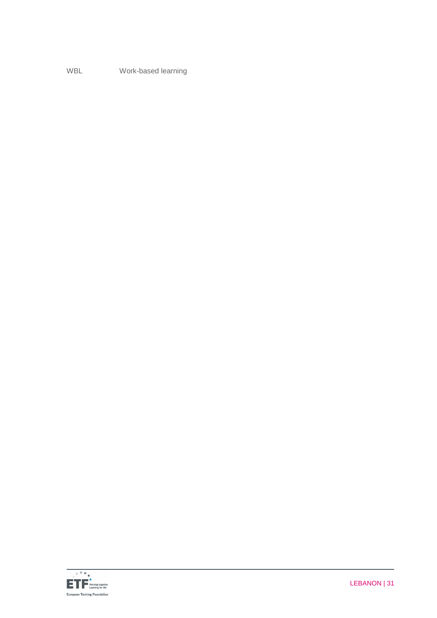WBL Work-based learning